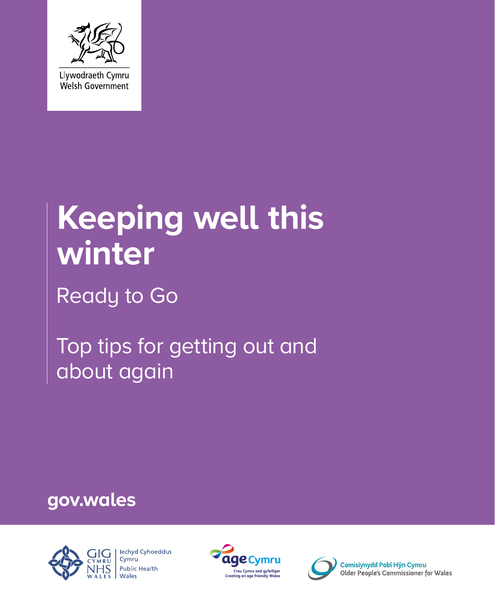

# **Keeping well this winter**

Ready to Go

Top tips for getting out and about again

**gov.wales**





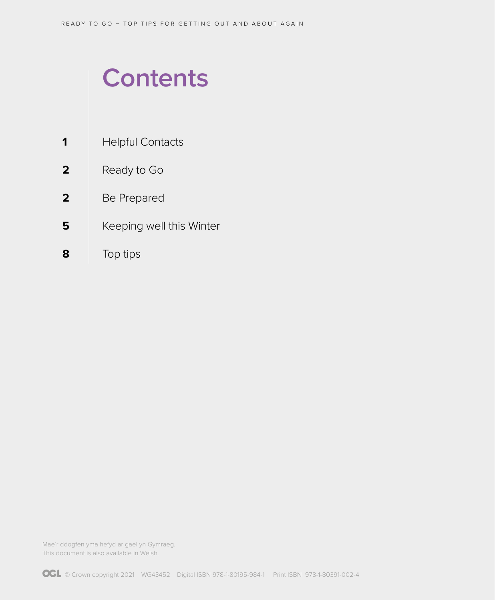## **Contents**

- Helpful Contacts **1**
- Ready to Go **2**
- Be Prepared **2**
- Keeping well this Winter **5**
- Top tips **8**

Mae'r ddogfen yma hefyd ar gael yn Gymraeg. This document is also available in Welsh.

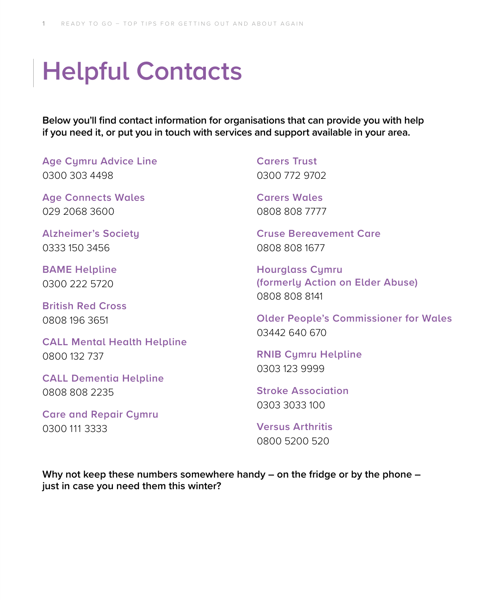## **Helpful Contacts**

**Below you'll find contact information for organisations that can provide you with help if you need it, or put you in touch with services and support available in your area.**

**Age Cymru Advice Line** 0300 303 4498

**Age Connects Wales** 029 2068 3600

**Alzheimer's Society** 0333 150 3456

**BAME Helpline** 0300 222 5720

**British Red Cross** 0808 196 3651

**CALL Mental Health Helpline** 0800 132 737

**CALL Dementia Helpline** 0808 808 2235

**Care and Repair Cymru** 0300 111 3333

**Carers Trust** 0300 772 9702

**Carers Wales** 0808 808 7777

**Cruse Bereavement Care** 0808 808 1677

**Hourglass Cymru (formerly Action on Elder Abuse)** 0808 808 8141

**Older People's Commissioner for Wales** 03442 640 670

**RNIB Cymru Helpline** 0303 123 9999

**Stroke Association** 0303 3033 100

**Versus Arthritis** 0800 5200 520

**Why not keep these numbers somewhere handy – on the fridge or by the phone – just in case you need them this winter?**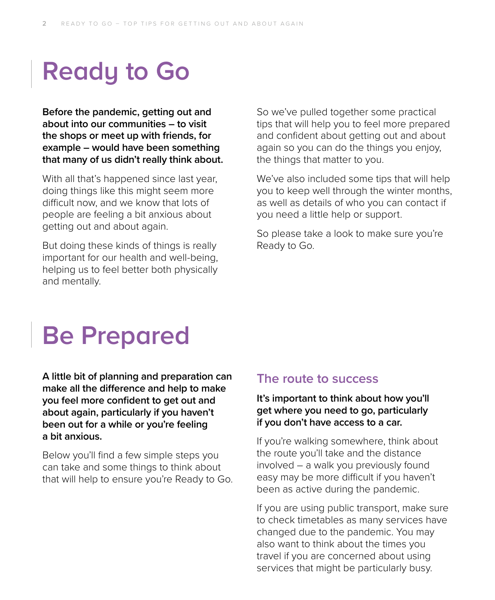## **Ready to Go**

**Before the pandemic, getting out and about into our communities – to visit the shops or meet up with friends, for example – would have been something that many of us didn't really think about.** 

With all that's happened since last year, doing things like this might seem more difficult now, and we know that lots of people are feeling a bit anxious about getting out and about again.

But doing these kinds of things is really important for our health and well-being, helping us to feel better both physically and mentally.

So we've pulled together some practical tips that will help you to feel more prepared and confident about getting out and about again so you can do the things you enjoy, the things that matter to you.

We've also included some tips that will help you to keep well through the winter months, as well as details of who you can contact if you need a little help or support.

So please take a look to make sure you're Ready to Go.

## **Be Prepared**

**A little bit of planning and preparation can make all the difference and help to make you feel more confident to get out and about again, particularly if you haven't been out for a while or you're feeling a bit anxious.** 

Below you'll find a few simple steps you can take and some things to think about that will help to ensure you're Ready to Go.

#### **The route to success**

#### **It's important to think about how you'll get where you need to go, particularly if you don't have access to a car.**

If you're walking somewhere, think about the route you'll take and the distance involved – a walk you previously found easy may be more difficult if you haven't been as active during the pandemic.

If you are using public transport, make sure to check timetables as many services have changed due to the pandemic. You may also want to think about the times you travel if you are concerned about using services that might be particularly busy.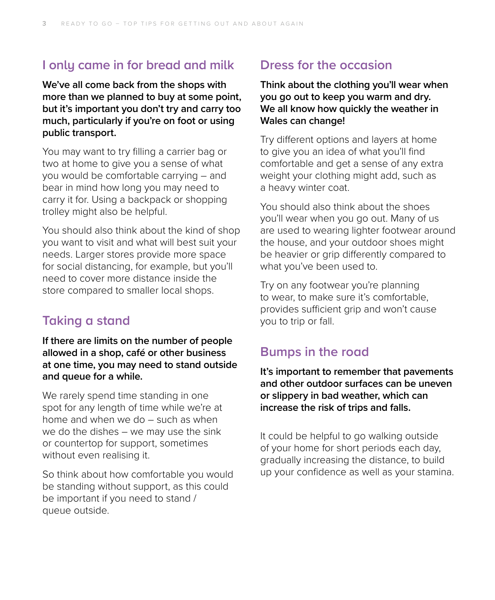## **I only came in for bread and milk**

**We've all come back from the shops with more than we planned to buy at some point, but it's important you don't try and carry too much, particularly if you're on foot or using public transport.** 

You may want to try filling a carrier bag or two at home to give you a sense of what you would be comfortable carrying – and bear in mind how long you may need to carry it for. Using a backpack or shopping trolley might also be helpful.

You should also think about the kind of shop you want to visit and what will best suit your needs. Larger stores provide more space for social distancing, for example, but you'll need to cover more distance inside the store compared to smaller local shops.

## **Taking a stand**

**If there are limits on the number of people allowed in a shop, café or other business at one time, you may need to stand outside and queue for a while.** 

We rarely spend time standing in one spot for any length of time while we're at home and when we do – such as when we do the dishes – we may use the sink or countertop for support, sometimes without even realising it.

So think about how comfortable you would be standing without support, as this could be important if you need to stand / queue outside.

## **Dress for the occasion**

**Think about the clothing you'll wear when you go out to keep you warm and dry. We all know how quickly the weather in Wales can change!** 

Try different options and layers at home to give you an idea of what you'll find comfortable and get a sense of any extra weight your clothing might add, such as a heavy winter coat.

You should also think about the shoes you'll wear when you go out. Many of us are used to wearing lighter footwear around the house, and your outdoor shoes might be heavier or grip differently compared to what you've been used to.

Try on any footwear you're planning to wear, to make sure it's comfortable, provides sufficient grip and won't cause you to trip or fall.

## **Bumps in the road**

**It's important to remember that pavements and other outdoor surfaces can be uneven or slippery in bad weather, which can increase the risk of trips and falls.** 

It could be helpful to go walking outside of your home for short periods each day, gradually increasing the distance, to build up your confidence as well as your stamina.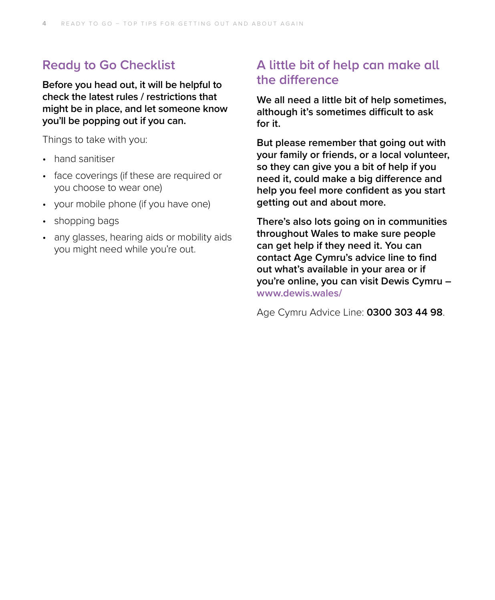## **Ready to Go Checklist**

**Before you head out, it will be helpful to check the latest rules / restrictions that might be in place, and let someone know you'll be popping out if you can.** 

Things to take with you:

- hand sanitiser
- face coverings (if these are required or you choose to wear one)
- your mobile phone (if you have one)
- shopping bags
- any glasses, hearing aids or mobility aids you might need while you're out.

## **A little bit of help can make all the difference**

**We all need a little bit of help sometimes, although it's sometimes difficult to ask for it.** 

**But please remember that going out with your family or friends, or a local volunteer, so they can give you a bit of help if you need it, could make a big difference and help you feel more confident as you start getting out and about more.** 

**There's also lots going on in communities throughout Wales to make sure people can get help if they need it. You can contact Age Cymru's advice line to find out what's available in your area or if you're online, you can visit Dewis Cymru – [www.dewis.wales/](https://www.dewis.wales/)**

Age Cymru Advice Line: **0300 303 44 98**.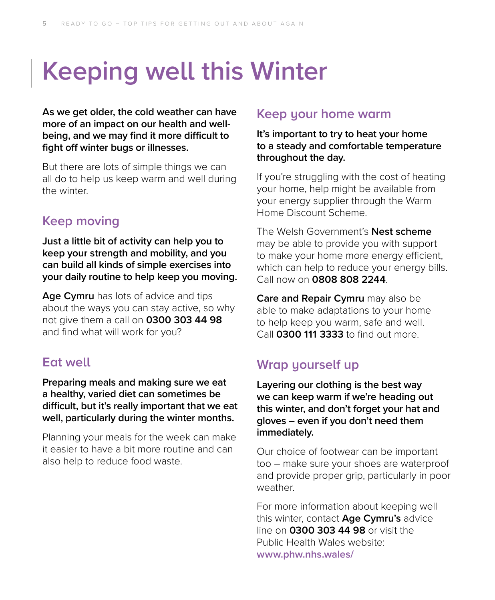## **Keeping well this Winter**

**As we get older, the cold weather can have more of an impact on our health and wellbeing, and we may find it more difficult to fight off winter bugs or illnesses.** 

But there are lots of simple things we can all do to help us keep warm and well during the winter.

## **Keep moving**

**Just a little bit of activity can help you to keep your strength and mobility, and you can build all kinds of simple exercises into your daily routine to help keep you moving.** 

**Age Cymru** has lots of advice and tips about the ways you can stay active, so why not give them a call on **0300 303 44 98** and find what will work for you?

## **Eat well**

**Preparing meals and making sure we eat a healthy, varied diet can sometimes be difficult, but it's really important that we eat well, particularly during the winter months.** 

Planning your meals for the week can make it easier to have a bit more routine and can also help to reduce food waste.

#### **Keep your home warm**

**It's important to try to heat your home to a steady and comfortable temperature throughout the day.** 

If you're struggling with the cost of heating your home, help might be available from your energy supplier through the Warm Home Discount Scheme.

The Welsh Government's **Nest scheme** may be able to provide you with support to make your home more energy efficient, which can help to reduce your energy bills. Call now on **0808 808 2244**.

**Care and Repair Cymru** may also be able to make adaptations to your home to help keep you warm, safe and well. Call **0300 111 3333** to find out more.

## **Wrap yourself up**

**Layering our clothing is the best way we can keep warm if we're heading out this winter, and don't forget your hat and gloves – even if you don't need them immediately.** 

Our choice of footwear can be important too – make sure your shoes are waterproof and provide proper grip, particularly in poor weather.

For more information about keeping well this winter, contact **Age Cymru's** advice line on **0300 303 44 98** or visit the Public Health Wales website: **www.[phw.nhs.wales/](https://phw.nhs.wales/)**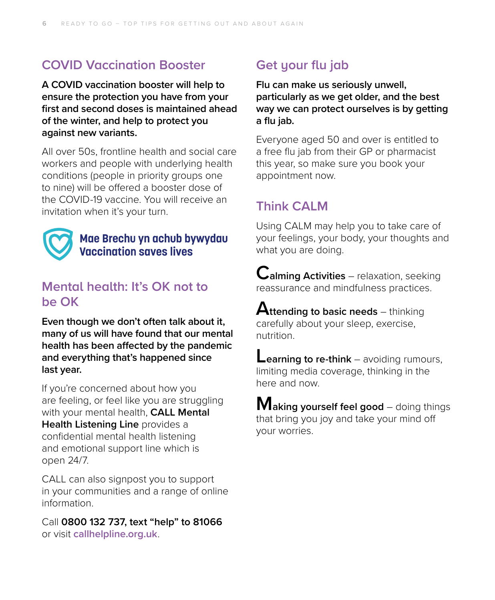## **COVID Vaccination Booster**

**A COVID vaccination booster will help to ensure the protection you have from your first and second doses is maintained ahead of the winter, and help to protect you against new variants.** 

All over 50s, frontline health and social care workers and people with underlying health conditions (people in priority groups one to nine) will be offered a booster dose of the COVID-19 vaccine. You will receive an invitation when it's your turn.



#### Mae Brechu yn achub bywydau **Vaccination saves lives**

## **Mental health: It's OK not to be OK**

**Even though we don't often talk about it, many of us will have found that our mental health has been affected by the pandemic and everything that's happened since last year.** 

If you're concerned about how you are feeling, or feel like you are struggling with your mental health, **CALL Mental Health Listening Line** provides a confidential mental health listening and emotional support line which is open 24/7.

CALL can also signpost you to support in your communities and a range of online information.

Call **0800 132 737, text "help" to 81066** or visit **[callhelpline.org.uk](http://callhelpline.org.uk)**.

## **Get your flu jab**

**Flu can make us seriously unwell, particularly as we get older, and the best way we can protect ourselves is by getting a flu jab.** 

Everyone aged 50 and over is entitled to a free flu jab from their GP or pharmacist this year, so make sure you book your appointment now.

## **Think CALM**

Using CALM may help you to take care of your feelings, your body, your thoughts and what you are doing.

**Calming Activities** – relaxation, seeking reassurance and mindfulness practices.

**Attending to basic needs** – thinking carefully about your sleep, exercise, nutrition.

**Learning to re-think** – avoiding rumours, limiting media coverage, thinking in the here and now.

**Making yourself feel good** – doing things that bring you joy and take your mind off your worries.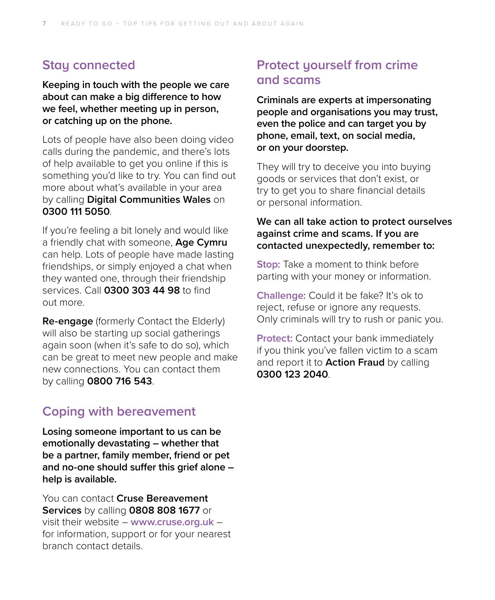### **Stay connected**

**Keeping in touch with the people we care about can make a big difference to how we feel, whether meeting up in person, or catching up on the phone.**

Lots of people have also been doing video calls during the pandemic, and there's lots of help available to get you online if this is something you'd like to try. You can find out more about what's available in your area by calling **Digital Communities Wales** on **0300 111 5050**.

If you're feeling a bit lonely and would like a friendly chat with someone, **Age Cymru** can help. Lots of people have made lasting friendships, or simply enjoyed a chat when they wanted one, through their friendship services. Call **0300 303 44 98** to find out more.

**Re-engage** (formerly Contact the Elderly) will also be starting up social gatherings again soon (when it's safe to do so), which can be great to meet new people and make new connections. You can contact them by calling **0800 716 543**.

### **Coping with bereavement**

**Losing someone important to us can be emotionally devastating – whether that be a partner, family member, friend or pet and no-one should suffer this grief alone – help is available.** 

You can contact **Cruse Bereavement Services** by calling **0808 808 1677** or visit their website – **[www.cruse.org.uk](https://www.cruse.org.uk/wales)** – for information, support or for your nearest branch contact details.

## **Protect yourself from crime and scams**

**Criminals are experts at impersonating people and organisations you may trust, even the police and can target you by phone, email, text, on social media, or on your doorstep.** 

They will try to deceive you into buying goods or services that don't exist, or try to get you to share financial details or personal information.

#### **We can all take action to protect ourselves against crime and scams. If you are contacted unexpectedly, remember to:**

**Stop:** Take a moment to think before parting with your money or information.

**Challenge:** Could it be fake? It's ok to reject, refuse or ignore any requests. Only criminals will try to rush or panic you.

**Protect:** Contact your bank immediately if you think you've fallen victim to a scam and report it to **Action Fraud** by calling **0300 123 2040**.